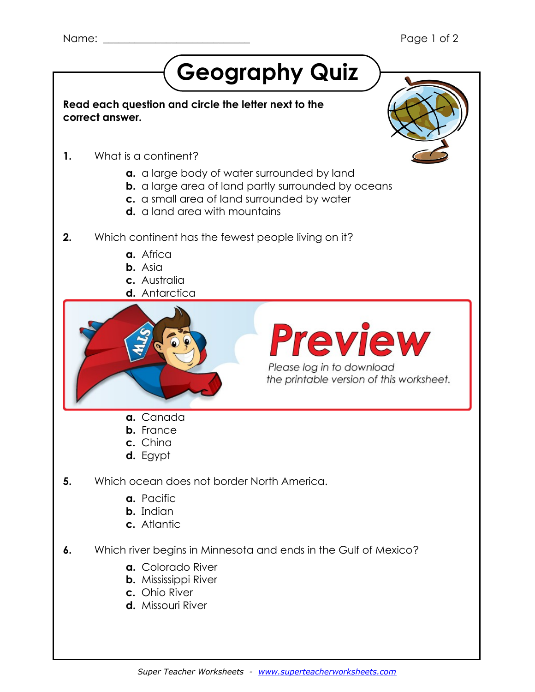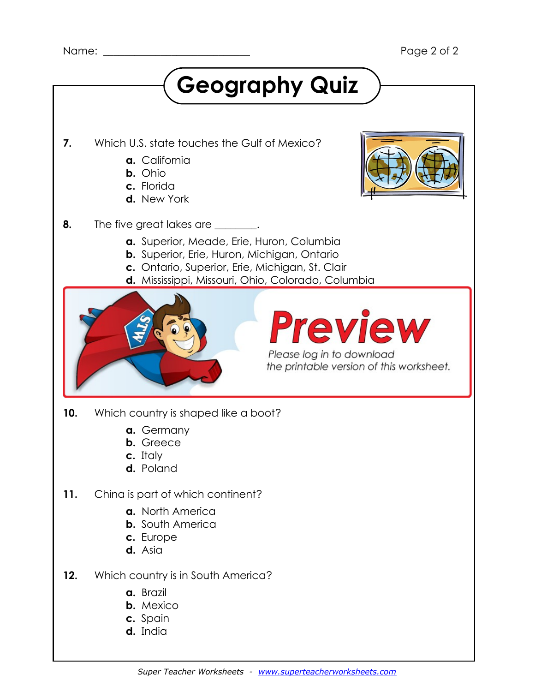### **Geography Quiz 7.** Which U.S. state touches the Gulf of Mexico? **a.** California **b.** Ohio **c.** Florida **d.** New York **8.** The five great lakes are <u>secure</u>. **a.** Superior, Meade, Erie, Huron, Columbia **b.** Superior, Erie, Huron, Michigan, Ontario **c.** Ontario, Superior, Erie, Michigan, St. Clair **d.** Mississippi, Missouri, Ohio, Colorado, Columbia **9.** If you wanted to travel from California to Japan, what body of water  $\mathcal{L}$  ,  $\mathcal{L}$  ,  $\mathcal{L}$ **a.** Mississippi River **b.** Atlantic Ocean Please log in to download **c. Pacific Ocean** the printable version of this worksheet. **d.** Gulf of Mexico **10.** Which country is shaped like a boot? **a.** Germany **b.** Greece **c.** Italy **d.** Poland

- **11.** China is part of which continent?
	- **a.** North America
	- **b.** South America
	- **c.** Europe
	- **d.** Asia
- **12.** Which country is in South America?
	- **a.** Brazil
	- **b.** Mexico
	- **c.** Spain
	- **d.** India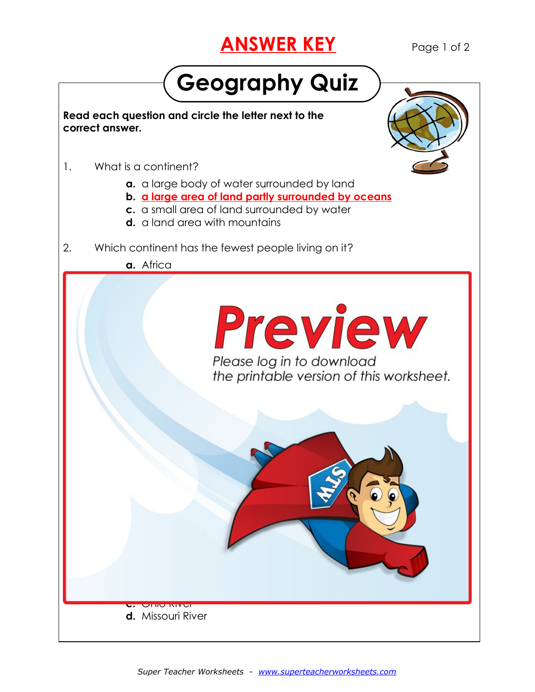## **ANSWER KEY** Page 1 of 2

## **Geography Quiz**

**Read each question and circle the letter next to the correct answer.**

- 1. What is a continent?
	- **a.** a large body of water surrounded by land
	- **b. a large area of land partly surrounded by oceans**
	- **c.** a small area of land surrounded by water
	- **d.** a land area with mountains
- 2. Which continent has the fewest people living on it?

**a.** Africa

**a.** South America

**d.** North America

4. Which country is on the continent of Europe?

5. Which ocean does not border North America.

**b.** Asia

**Preview** 

Please log in to download

**c.** Ohio River **d.** Missouri River



6. Which river begins in Minnesota and ends in the Gulf of Mexico?